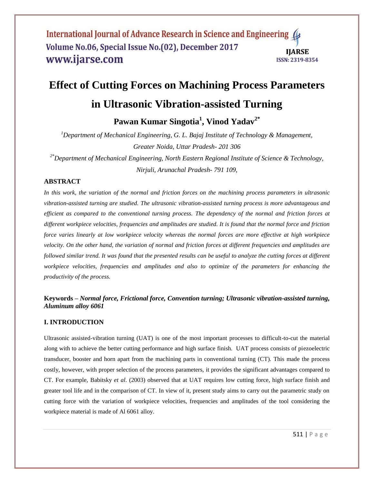# **Effect of Cutting Forces on Machining Process Parameters**

# **in Ultrasonic Vibration-assisted Turning**

**Pawan Kumar Singotia<sup>1</sup> , Vinod Yadav2\***

*<sup>1</sup>Department of Mechanical Engineering, G. L. Bajaj Institute of Technology & Management, Greater Noida, Uttar Pradesh- 201 306*

*2\*Department of Mechanical Engineering, North Eastern Regional Institute of Science & Technology, Nirjuli, Arunachal Pradesh- 791 109,*

## **ABSTRACT**

*In this work, the variation of the normal and friction forces on the machining process parameters in ultrasonic vibration-assisted turning are studied. The ultrasonic vibration-assisted turning process is more advantageous and efficient as compared to the conventional turning process. The dependency of the normal and friction forces at different workpiece velocities, frequencies and amplitudes are studied. It is found that the normal force and friction force varies linearly at low workpiece velocity whereas the normal forces are more effective at high workpiece velocity. On the other hand, the variation of normal and friction forces at different frequencies and amplitudes are followed similar trend. It was found that the presented results can be useful to analyze the cutting forces at different workpiece velocities, frequencies and amplitudes and also to optimize of the parameters for enhancing the productivity of the process.* 

# **Keywords –** *Normal force, Frictional force, Convention turning; Ultrasonic vibration-assisted turning, Aluminum alloy 6061*

## **I. INTRODUCTION**

Ultrasonic assisted-vibration turning (UAT) is one of the most important processes to difficult-to-cut the material along with to achieve the better cutting performance and high surface finish. UAT process consists of piezoelectric transducer, booster and horn apart from the machining parts in conventional turning (CT). This made the process costly, however, with proper selection of the process parameters, it provides the significant advantages compared to CT. For example, Babitsky *et al*. (2003) observed that at UAT requires low cutting force, high surface finish and greater tool life and in the comparison of CT. In view of it, present study aims to carry out the parametric study on cutting force with the variation of workpiece velocities, frequencies and amplitudes of the tool considering the workpiece material is made of Al 6061 alloy.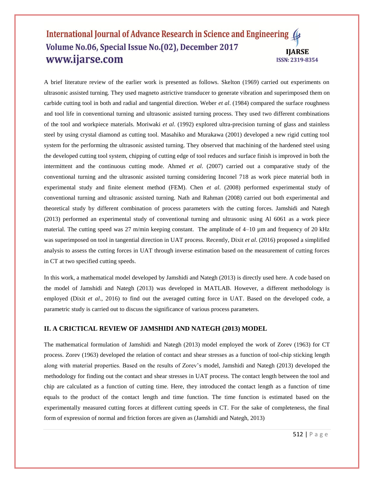A brief literature review of the earlier work is presented as follows. Skelton (1969) carried out experiments on ultrasonic assisted turning. They used magneto astrictive transducer to generate vibration and superimposed them on carbide cutting tool in both and radial and tangential direction. Weber *et al*. (1984) compared the surface roughness and tool life in conventional turning and ultrasonic assisted turning process. They used two different combinations of the tool and workpiece materials. Moriwaki *et al*. (1992) explored ultra-precision turning of glass and stainless steel by using crystal diamond as cutting tool. Masahiko and Murakawa (2001) developed a new rigid cutting tool system for the performing the ultrasonic assisted turning. They observed that machining of the hardened steel using the developed cutting tool system, chipping of cutting edge of tool reduces and surface finish is improved in both the intermittent and the continuous cutting mode. Ahmed *et al*. (2007) carried out a comparative study of the conventional turning and the ultrasonic assisted turning considering Inconel 718 as work piece material both in experimental study and finite element method (FEM). Chen *et al*. (2008) performed experimental study of conventional turning and ultrasonic assisted turning. Nath and Rahman (2008) carried out both experimental and theoretical study by different combination of process parameters with the cutting forces. Jamshidi and Nategh (2013) performed an experimental study of conventional turning and ultrasonic using Al 6061 as a work piece material. The cutting speed was 27 m/min keeping constant. The amplitude of 4–10 µm and frequency of 20 kHz was superimposed on tool in tangential direction in UAT process. Recently, Dixit *et al*. (2016) proposed a simplified analysis to assess the cutting forces in UAT through inverse estimation based on the measurement of cutting forces in CT at two specified cutting speeds.

In this work, a mathematical model developed by Jamshidi and Nategh (2013) is directly used here. A code based on the model of Jamshidi and Nategh (2013) was developed in MATLAB. However, a different methodology is employed (Dixit *et al*., 2016) to find out the averaged cutting force in UAT. Based on the developed code, a parametric study is carried out to discuss the significance of various process parameters.

## **II. A CRICTICAL REVIEW OF JAMSHIDI AND NATEGH (2013) MODEL**

The mathematical formulation of Jamshidi and Nategh (2013) model employed the work of Zorev (1963) for CT process. Zorev (1963) developed the relation of contact and shear stresses as a function of tool-chip sticking length along with material properties. Based on the results of Zorev's model, Jamshidi and Nategh (2013) developed the methodology for finding out the contact and shear stresses in UAT process. The contact length between the tool and chip are calculated as a function of cutting time. Here, they introduced the contact length as a function of time equals to the product of the contact length and time function. The time function is estimated based on the experimentally measured cutting forces at different cutting speeds in CT. For the sake of completeness, the final form of expression of normal and friction forces are given as (Jamshidi and Nategh, 2013)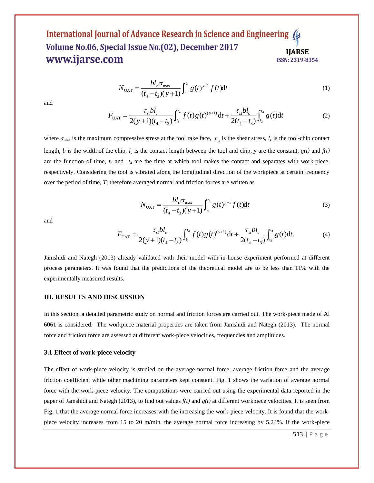$$
N_{\text{UAT}} = \frac{bl_c \sigma_{\text{max}}}{(t_4 - t_3)(y + 1)} \int_{t_3}^{t_4} g(t)^{y+1} f(t) dt
$$
\n
$$
T_{\text{max}} = \frac{\tau_{st}bl_c}{\sqrt{1 - \frac{v_{st}bl_c}{(t_4 - t_3)(y + 1)}}} \int_{t_3}^{t_4} g(t)^{(y+1)} dt + \frac{\tau_{st}bl_c}{\sqrt{1 - \frac{v_{st}bl_c}{(t_4 - t_3)(y + 1)}}} \int_{t_3}^{t_4} g(t) dt
$$
\n(1)

and

$$
N_{\text{UAT}} = \frac{b l_c \sigma_{\text{max}}}{(t_4 - t_3)(y + 1)} \int_{t_3}^{t_4} g(t)^{y+1} f(t) dt
$$
\n
$$
F_{\text{UAT}} = \frac{\tau_{st} b l_c}{2(y+1)(t_4 - t_3)} \int_{t_3}^{t_4} f(t) g(t)^{(y+1)} dt + \frac{\tau_{st} b l_c}{2(t_4 - t_3)} \int_{t_3}^{t_4} g(t) dt
$$
\n(2)

where  $\sigma_{\text{max}}$  is the maximum compressive stress at the tool rake face,  $\tau_{st}$  is the shear stress,  $l_c$  is the tool-chip contact length, *b* is the width of the chip,  $l_c$  is the contact length between the tool and chip, y are the constant,  $g(t)$  and  $f(t)$ are the function of time,  $t_3$  and  $t_4$  are the time at which tool makes the contact and separates with work-piece, respectively. Considering the tool is vibrated along the longitudinal direction of the workpiece at certain frequency over the period of time, *T*; therefore averaged normal and friction forces are written as

$$
N_{\text{UAT}} = \frac{bl_c \sigma_{\text{max}}}{(t_4 - t_3)(y + 1)} \int_{t_3}^{t_4} g(t)^{y+1} f(t) dt
$$
 (3)

and

$$
N_{\text{UAT}} = \frac{\sigma_{c} \sigma_{\text{max}}}{(t_4 - t_3)(y + 1)} \int_{t_3}^{t_4} g(t)^{y+1} f(t) dt
$$
(3)  

$$
F_{\text{UAT}} = \frac{\tau_{st} bl_c}{2(y+1)(t_4 - t_3)} \int_{t_3}^{t_4} f(t) g(t)^{(y+1)} dt + \frac{\tau_{st} bl_c}{2(t_4 - t_3)} \int_{t_3}^{t_4} g(t) dt.
$$
(4)

Jamshidi and Nategh (2013) already validated with their model with in-house experiment performed at different process parameters. It was found that the predictions of the theoretical model are to be less than 11% with the experimentally measured results.

### **III. RESULTS AND DISCUSSION**

In this section, a detailed parametric study on normal and friction forces are carried out. The work-piece made of Al 6061 is considered. The workpiece material properties are taken from Jamshidi and Nategh (2013). The normal force and friction force are assessed at different work-piece velocities, frequencies and amplitudes.

#### **3.1 Effect of work-piece velocity**

The effect of work-piece velocity is studied on the average normal force, average friction force and the average friction coefficient while other machining parameters kept constant. Fig. 1 shows the variation of average normal force with the work-piece velocity. The computations were carried out using the experimental data reported in the paper of Jamshidi and Nategh (2013), to find out values *f(t)* and *g(t)* at different workpiece velocities. It is seen from Fig. 1 that the average normal force increases with the increasing the work-piece velocity. It is found that the workpiece velocity increases from 15 to 20 m/min, the average normal force increasing by 5.24%. If the work-piece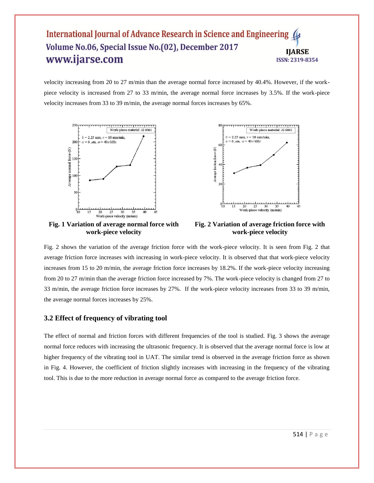velocity increasing from 20 to 27 m/min than the average normal force increased by 40.4%. However, if the workpiece velocity is increased from 27 to 33 m/min, the average normal force increases by 3.5%. If the work-piece velocity increases from 33 to 39 m/min, the average normal forces increases by 65%.



**Fig. 1 Variation of average normal force with work-piece velocity**



Fig. 2 shows the variation of the average friction force with the work-piece velocity. It is seen from Fig. 2 that average friction force increases with increasing in work-piece velocity. It is observed that that work-piece velocity increases from 15 to 20 m/min, the average friction force increases by 18.2%. If the work-piece velocity increasing from 20 to 27 m/min than the average friction force increased by 7%. The work-piece velocity is changed from 27 to 33 m/min, the average friction force increases by 27%. If the work-piece velocity increases from 33 to 39 m/min, the average normal forces increases by 25%.

## **3.2 Effect of frequency of vibrating tool**

The effect of normal and friction forces with different frequencies of the tool is studied. Fig. 3 shows the average normal force reduces with increasing the ultrasonic frequency. It is observed that the average normal force is low at higher frequency of the vibrating tool in UAT. The similar trend is observed in the average friction force as shown in Fig. 4. However, the coefficient of friction slightly increases with increasing in the frequency of the vibrating tool. This is due to the more reduction in average normal force as compared to the average friction force.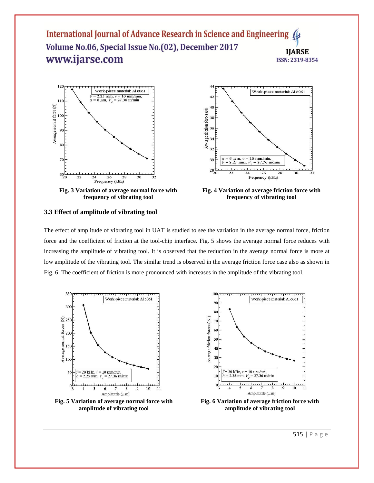

**Fig. 3 Variation of average normal force with frequency of vibrating tool**

**amplitude of vibrating tool**



**Fig. 4 Variation of average friction force with frequency of vibrating tool**

## **3.3 Effect of amplitude of vibrating tool**

The effect of amplitude of vibrating tool in UAT is studied to see the variation in the average normal force, friction force and the coefficient of friction at the tool-chip interface. Fig. 5 shows the average normal force reduces with increasing the amplitude of vibrating tool. It is observed that the reduction in the average normal force is more at low amplitude of the vibrating tool. The similar trend is observed in the average friction force case also as shown in Fig. 6. The coefficient of friction is more pronounced with increases in the amplitude of the vibrating tool.



**Fig. 6 Variation of average friction force with amplitude of vibrating tool**

515 | P a g e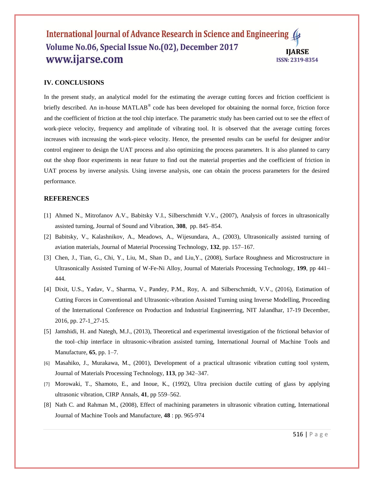## **IV. CONCLUSIONS**

In the present study, an analytical model for the estimating the average cutting forces and friction coefficient is briefly described. An in-house MATLAB® code has been developed for obtaining the normal force, friction force and the coefficient of friction at the tool chip interface. The parametric study has been carried out to see the effect of work-piece velocity, frequency and amplitude of vibrating tool. It is observed that the average cutting forces increases with increasing the work-piece velocity. Hence, the presented results can be useful for designer and/or control engineer to design the UAT process and also optimizing the process parameters. It is also planned to carry out the shop floor experiments in near future to find out the material properties and the coefficient of friction in UAT process by inverse analysis. Using inverse analysis, one can obtain the process parameters for the desired performance.

### **REFERENCES**

- [1] Ahmed N., Mitrofanov A.V., Babitsky V.I., Silberschmidt V.V., (2007), Analysis of forces in ultrasonically assisted turning, Journal of Sound and Vibration, **308**, pp. 845–854.
- [2] Babitsky, V., Kalashnikov, A., Meadows, A., Wijesundara, A., (2003), Ultrasonically assisted turning of aviation materials, Journal of Material Processing Technology, **132**, pp. 157–167.
- [3] Chen, J., Tian, G., Chi, Y., Liu, M., Shan D., and Liu,Y., (2008), Surface Roughness and Microstructure in Ultrasonically Assisted Turning of W-Fe-Ni Alloy, Journal of Materials Processing Technology, **199**, pp 441– 444.
- [4] Dixit, U.S., Yadav, V., Sharma, V., Pandey, P.M., Roy, A. and Silberschmidt, V.V., (2016), Estimation of Cutting Forces in Conventional and Ultrasonic-vibration Assisted Turning using Inverse Modelling, Proceeding of the International Conference on Production and Industrial Engineerring, NIT Jalandhar, 17-19 December, 2016, pp. 27-1\_27-15.
- [5] Jamshidi, H. and Nategh, M.J., (2013), Theoretical and experimental investigation of the frictional behavior of the tool–chip interface in ultrasonic-vibration assisted turning, International Journal of Machine Tools and Manufacture, **65**, pp. 1–7.
- [6] Masahiko, J., Murakawa, M., (2001), Development of a practical ultrasonic vibration cutting tool system, Journal of Materials Processing Technology, **113**, pp 342–347.
- [7] Morowaki, T., Shamoto, E., and Inoue, K., (1992), Ultra precision ductile cutting of glass by applying ultrasonic vibration, CIRP Annals, **41**, pp 559–562.
- [8] Nath C. and Rahman M., (2008), Effect of machining parameters in ultrasonic vibration cutting, International Journal of Machine Tools and Manufacture, **48** : pp. 965-974